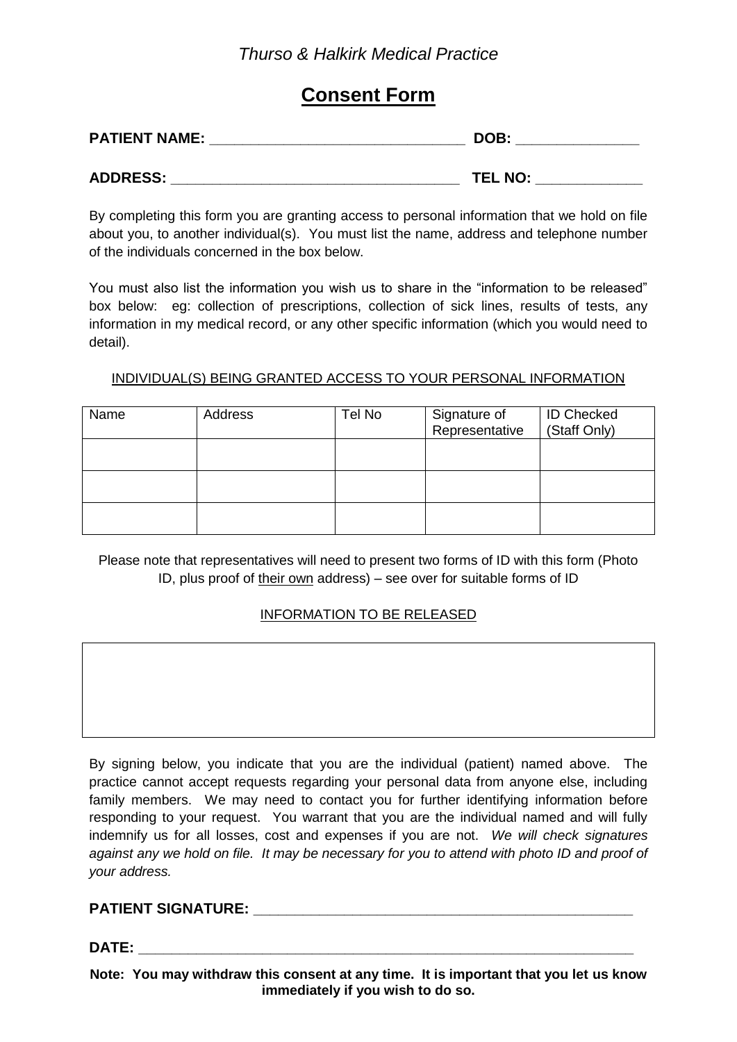# **Consent Form**

| <b>PATIENT NAME:</b> | DOB:           |  |  |
|----------------------|----------------|--|--|
| <b>ADDRESS:</b>      | <b>TEL NO:</b> |  |  |

By completing this form you are granting access to personal information that we hold on file about you, to another individual(s). You must list the name, address and telephone number of the individuals concerned in the box below.

You must also list the information you wish us to share in the "information to be released" box below: eg: collection of prescriptions, collection of sick lines, results of tests, any information in my medical record, or any other specific information (which you would need to detail).

## INDIVIDUAL(S) BEING GRANTED ACCESS TO YOUR PERSONAL INFORMATION

| Name | Address | Tel No | Signature of<br>Representative | <b>ID Checked</b><br>(Staff Only) |
|------|---------|--------|--------------------------------|-----------------------------------|
|      |         |        |                                |                                   |
|      |         |        |                                |                                   |
|      |         |        |                                |                                   |

Please note that representatives will need to present two forms of ID with this form (Photo ID, plus proof of their own address) – see over for suitable forms of ID

# INFORMATION TO BE RELEASED

By signing below, you indicate that you are the individual (patient) named above. The practice cannot accept requests regarding your personal data from anyone else, including family members. We may need to contact you for further identifying information before responding to your request. You warrant that you are the individual named and will fully indemnify us for all losses, cost and expenses if you are not. *We will check signatures against any we hold on file. It may be necessary for you to attend with photo ID and proof of your address.*

#### **PATIENT SIGNATURE: \_\_\_\_\_\_\_\_\_\_\_\_\_\_\_\_\_\_\_\_\_\_\_\_\_\_\_\_\_\_\_\_\_\_\_\_\_\_\_\_\_\_\_\_\_\_**

**DATE: \_\_\_\_\_\_\_\_\_\_\_\_\_\_\_\_\_\_\_\_\_\_\_\_\_\_\_\_\_\_\_\_\_\_\_\_\_\_\_\_\_\_\_\_\_\_\_\_\_\_\_\_\_\_\_\_\_\_\_\_** 

**Note: You may withdraw this consent at any time. It is important that you let us know immediately if you wish to do so.**